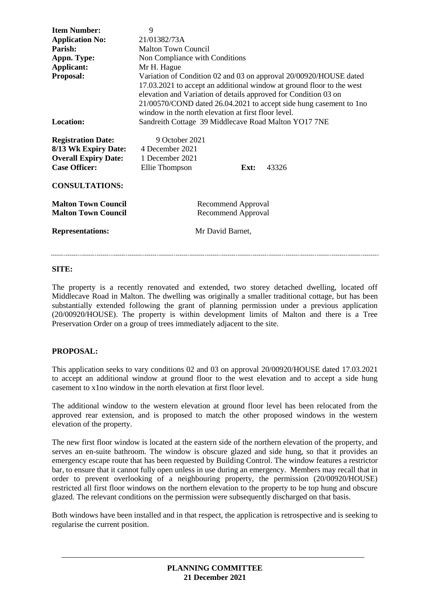| <b>Item Number:</b>         | 9<br>21/01382/73A                                                                                                                                                                                                                                                                                                                          |
|-----------------------------|--------------------------------------------------------------------------------------------------------------------------------------------------------------------------------------------------------------------------------------------------------------------------------------------------------------------------------------------|
| <b>Application No:</b>      |                                                                                                                                                                                                                                                                                                                                            |
| Parish:                     | <b>Malton Town Council</b>                                                                                                                                                                                                                                                                                                                 |
| Appn. Type:                 | Non Compliance with Conditions                                                                                                                                                                                                                                                                                                             |
| Applicant:                  | Mr H. Hague                                                                                                                                                                                                                                                                                                                                |
| Proposal:                   | Variation of Condition 02 and 03 on approval 20/00920/HOUSE dated<br>17.03.2021 to accept an additional window at ground floor to the west<br>elevation and Variation of details approved for Condition 03 on<br>21/00570/COND dated 26.04.2021 to accept side hung casement to 1no<br>window in the north elevation at first floor level. |
| Location:                   | Sandreith Cottage 39 Middlecave Road Malton YO17 7NE                                                                                                                                                                                                                                                                                       |
| <b>Registration Date:</b>   | 9 October 2021                                                                                                                                                                                                                                                                                                                             |
| 8/13 Wk Expiry Date:        | 4 December 2021                                                                                                                                                                                                                                                                                                                            |
| <b>Overall Expiry Date:</b> | 1 December 2021                                                                                                                                                                                                                                                                                                                            |
| <b>Case Officer:</b>        | Ellie Thompson<br>43326<br>Ext:                                                                                                                                                                                                                                                                                                            |
|                             |                                                                                                                                                                                                                                                                                                                                            |
| <b>CONSULTATIONS:</b>       |                                                                                                                                                                                                                                                                                                                                            |
| <b>Malton Town Council</b>  | Recommend Approval                                                                                                                                                                                                                                                                                                                         |
| <b>Malton Town Council</b>  | Recommend Approval                                                                                                                                                                                                                                                                                                                         |
|                             |                                                                                                                                                                                                                                                                                                                                            |
| <b>Representations:</b>     | Mr David Barnet,                                                                                                                                                                                                                                                                                                                           |
|                             |                                                                                                                                                                                                                                                                                                                                            |

#### **SITE:**

The property is a recently renovated and extended, two storey detached dwelling, located off Middlecave Road in Malton. The dwelling was originally a smaller traditional cottage, but has been substantially extended following the grant of planning permission under a previous application (20/00920/HOUSE). The property is within development limits of Malton and there is a Tree Preservation Order on a group of trees immediately adjacent to the site.

#### **PROPOSAL:**

This application seeks to vary conditions 02 and 03 on approval 20/00920/HOUSE dated 17.03.2021 to accept an additional window at ground floor to the west elevation and to accept a side hung casement to x1no window in the north elevation at first floor level.

The additional window to the western elevation at ground floor level has been relocated from the approved rear extension, and is proposed to match the other proposed windows in the western elevation of the property.

The new first floor window is located at the eastern side of the northern elevation of the property, and serves an en-suite bathroom. The window is obscure glazed and side hung, so that it provides an emergency escape route that has been requested by Building Control. The window features a restrictor bar, to ensure that it cannot fully open unless in use during an emergency. Members may recall that in order to prevent overlooking of a neighbouring property, the permission (20/00920/HOUSE) restricted all first floor windows on the northern elevation to the property to be top hung and obscure glazed. The relevant conditions on the permission were subsequently discharged on that basis.

Both windows have been installed and in that respect, the application is retrospective and is seeking to regularise the current position.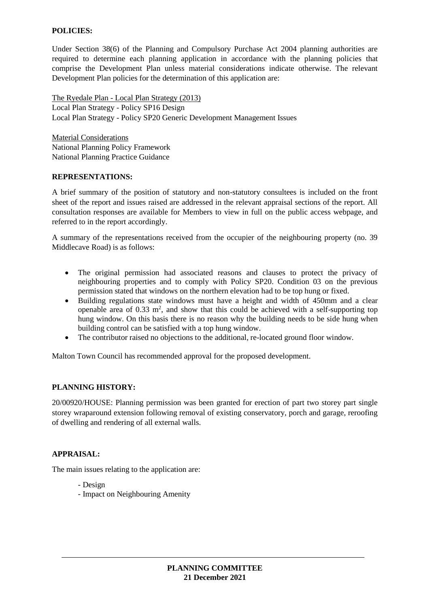### **POLICIES:**

Under Section 38(6) of the Planning and Compulsory Purchase Act 2004 planning authorities are required to determine each planning application in accordance with the planning policies that comprise the Development Plan unless material considerations indicate otherwise. The relevant Development Plan policies for the determination of this application are:

The Ryedale Plan - Local Plan Strategy (2013) Local Plan Strategy - Policy SP16 Design Local Plan Strategy - Policy SP20 Generic Development Management Issues

Material Considerations National Planning Policy Framework National Planning Practice Guidance

#### **REPRESENTATIONS:**

A brief summary of the position of statutory and non-statutory consultees is included on the front sheet of the report and issues raised are addressed in the relevant appraisal sections of the report. All consultation responses are available for Members to view in full on the public access webpage, and referred to in the report accordingly.

A summary of the representations received from the occupier of the neighbouring property (no. 39 Middlecave Road) is as follows:

- The original permission had associated reasons and clauses to protect the privacy of neighbouring properties and to comply with Policy SP20. Condition 03 on the previous permission stated that windows on the northern elevation had to be top hung or fixed.
- Building regulations state windows must have a height and width of 450mm and a clear openable area of  $0.33 \text{ m}^2$ , and show that this could be achieved with a self-supporting top hung window. On this basis there is no reason why the building needs to be side hung when building control can be satisfied with a top hung window.
- The contributor raised no objections to the additional, re-located ground floor window.

Malton Town Council has recommended approval for the proposed development.

#### **PLANNING HISTORY:**

20/00920/HOUSE: Planning permission was been granted for erection of part two storey part single storey wraparound extension following removal of existing conservatory, porch and garage, reroofing of dwelling and rendering of all external walls.

#### **APPRAISAL:**

The main issues relating to the application are:

- Design
- Impact on Neighbouring Amenity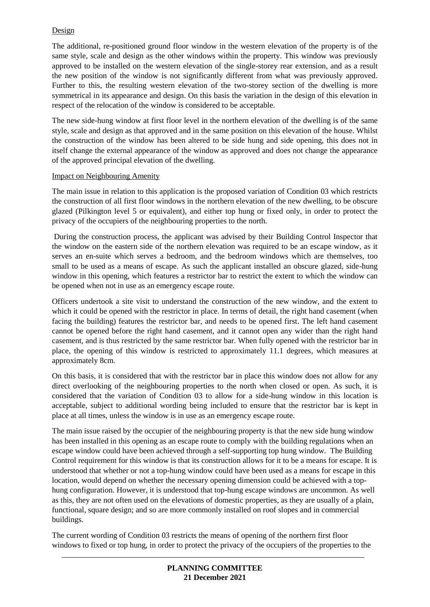# Design

The additional, re-positioned ground floor window in the western elevation of the property is of the same style, scale and design as the other windows within the property. This window was previously approved to be installed on the western elevation of the single-storey rear extension, and as a result the new position of the window is not significantly different from what was previously approved. Further to this, the resulting western elevation of the two-storey section of the dwelling is more symmetrical in its appearance and design. On this basis the variation in the design of this elevation in respect of the relocation of the window is considered to be acceptable.

The new side-hung window at first floor level in the northern elevation of the dwelling is of the same style, scale and design as that approved and in the same position on this elevation of the house. Whilst the construction of the window has been altered to be side hung and side opening, this does not in itself change the external appearance of the window as approved and does not change the appearance of the approved principal elevation of the dwelling.

#### Impact on Neighbouring Amenity

The main issue in relation to this application is the proposed variation of Condition 03 which restricts the construction of all first floor windows in the northern elevation of the new dwelling, to be obscure glazed (Pilkington level 5 or equivalent), and either top hung or fixed only, in order to protect the privacy of the occupiers of the neighbouring properties to the north.

During the construction process, the applicant was advised by their Building Control Inspector that the window on the eastern side of the northern elevation was required to be an escape window, as it serves an en-suite which serves a bedroom, and the bedroom windows which are themselves, too small to be used as a means of escape. As such the applicant installed an obscure glazed, side-hung window in this opening, which features a restrictor bar to restrict the extent to which the window can be opened when not in use as an emergency escape route.

Officers undertook a site visit to understand the construction of the new window, and the extent to which it could be opened with the restrictor in place. In terms of detail, the right hand casement (when facing the building) features the restrictor bar, and needs to be opened first. The left hand casement cannot be opened before the right hand casement, and it cannot open any wider than the right hand casement, and is thus restricted by the same restrictor bar. When fully opened with the restrictor bar in place, the opening of this window is restricted to approximately 11.1 degrees, which measures at approximately 8cm.

On this basis, it is considered that with the restrictor bar in place this window does not allow for any direct overlooking of the neighbouring properties to the north when closed or open. As such, it is considered that the variation of Condition 03 to allow for a side-hung window in this location is acceptable, subject to additional wording being included to ensure that the restrictor bar is kept in place at all times, unless the window is in use as an emergency escape route.

The main issue raised by the occupier of the neighbouring property is that the new side hung window has been installed in this opening as an escape route to comply with the building regulations when an escape window could have been achieved through a self-supporting top hung window. The Building Control requirement for this window is that its construction allows for it to be a means for escape. It is understood that whether or not a top-hung window could have been used as a means for escape in this location, would depend on whether the necessary opening dimension could be achieved with a tophung configuration. However, it is understood that top-hung escape windows are uncommon. As well as this, they are not often used on the elevations of domestic properties, as they are usually of a plain, functional, square design; and so are more commonly installed on roof slopes and in commercial buildings.

The current wording of Condition 03 restricts the means of opening of the northern first floor windows to fixed or top hung, in order to protect the privacy of the occupiers of the properties to the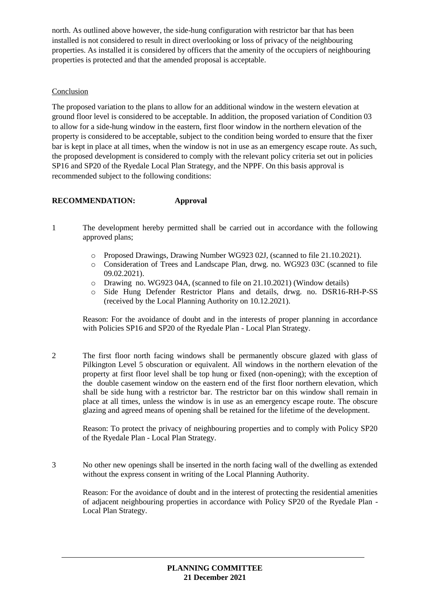north. As outlined above however, the side-hung configuration with restrictor bar that has been installed is not considered to result in direct overlooking or loss of privacy of the neighbouring properties. As installed it is considered by officers that the amenity of the occupiers of neighbouring properties is protected and that the amended proposal is acceptable.

### Conclusion

The proposed variation to the plans to allow for an additional window in the western elevation at ground floor level is considered to be acceptable. In addition, the proposed variation of Condition 03 to allow for a side-hung window in the eastern, first floor window in the northern elevation of the property is considered to be acceptable, subject to the condition being worded to ensure that the fixer bar is kept in place at all times, when the window is not in use as an emergency escape route. As such, the proposed development is considered to comply with the relevant policy criteria set out in policies SP16 and SP20 of the Ryedale Local Plan Strategy, and the NPPF. On this basis approval is recommended subject to the following conditions:

# **RECOMMENDATION: Approval**

- 1 The development hereby permitted shall be carried out in accordance with the following approved plans;
	- o Proposed Drawings, Drawing Number WG923 02J, (scanned to file 21.10.2021).
	- o Consideration of Trees and Landscape Plan, drwg. no. WG923 03C (scanned to file 09.02.2021).
	- o Drawing no. WG923 04A, (scanned to file on 21.10.2021) (Window details)
	- o Side Hung Defender Restrictor Plans and details, drwg. no. DSR16-RH-P-SS (received by the Local Planning Authority on 10.12.2021).

Reason: For the avoidance of doubt and in the interests of proper planning in accordance with Policies SP16 and SP20 of the Ryedale Plan - Local Plan Strategy.

2 The first floor north facing windows shall be permanently obscure glazed with glass of Pilkington Level 5 obscuration or equivalent. All windows in the northern elevation of the property at first floor level shall be top hung or fixed (non-opening); with the exception of the double casement window on the eastern end of the first floor northern elevation, which shall be side hung with a restrictor bar. The restrictor bar on this window shall remain in place at all times, unless the window is in use as an emergency escape route. The obscure glazing and agreed means of opening shall be retained for the lifetime of the development.

Reason: To protect the privacy of neighbouring properties and to comply with Policy SP20 of the Ryedale Plan - Local Plan Strategy.

3 No other new openings shall be inserted in the north facing wall of the dwelling as extended without the express consent in writing of the Local Planning Authority.

Reason: For the avoidance of doubt and in the interest of protecting the residential amenities of adjacent neighbouring properties in accordance with Policy SP20 of the Ryedale Plan - Local Plan Strategy.